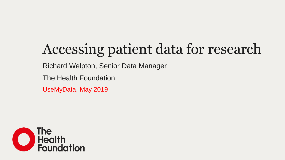# Accessing patient data for research

Richard Welpton, Senior Data Manager

The Health Foundation

UseMyData, May 2019

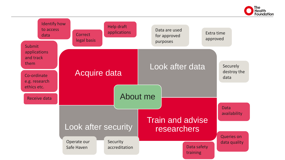

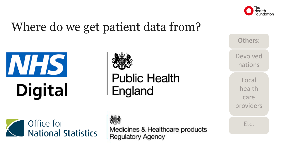

#### Where do we get patient data from?





**Public Health<br>England** 

Office for **National Statistics** 

Medicines & Healthcare products **Regulatory Agency** 

Devolved

nations

**Others:**

Local health care providers

Etc.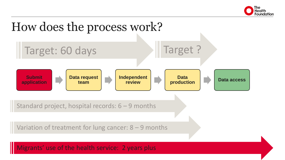

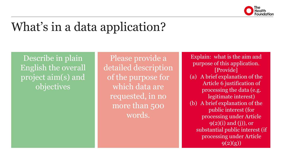

#### What's in a data application?

Describe in plain English the overall project aim(s) and objectives

Please provide a detailed description of the purpose for which data are requested, in no more than 500 words.

Explain: what is the aim and purpose of this application. [Provide] (a) A brief explanation of the Article 6 justification of processing the data (e.g. legitimate interest) (b) A brief explanation of the public interest (for processing under Article  $9(2)(i)$  and  $(i)$ ), or substantial public interest (if processing under Article 9(2)(g))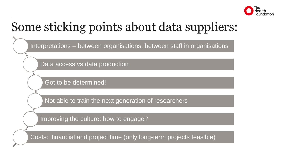

#### Some sticking points about data suppliers:

Interpretations – between organisations, between staff in organisations

Data access vs data production

Got to be determined!

Not able to train the next generation of researchers

Improving the culture: how to engage?

Costs: financial and project time (only long-term projects feasible)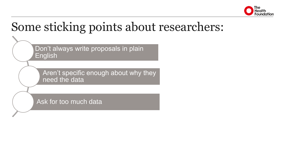

#### Some sticking points about researchers:

Don't always write proposals in plain English

Aren't specific enough about why they need the data

Ask for too much data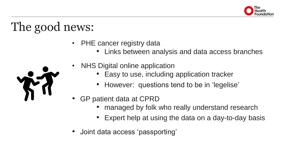

## The good news:

- PHE cancer registry data
	- Links between analysis and data access branches



- NHS Digital online application
	- Easy to use, including application tracker
	- However: questions tend to be in 'legelise'
- GP patient data at CPRD
	- managed by folk who really understand research
	- Expert help at using the data on a day-to-day basis
- Joint data access 'passporting'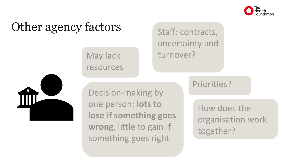

## Other agency factors

May lack resources

#### Staff: contracts, uncertainty and turnover?



Decision-making by one person: **lots to lose if something goes wrong**, little to gain if something goes right

#### Priorities?

How does the organisation work together?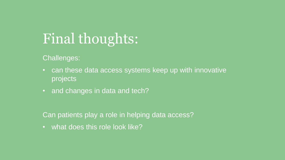## Final thoughts:

Challenges:

- can these data access systems keep up with innovative projects
- and changes in data and tech?

Can patients play a role in helping data access?

• what does this role look like?